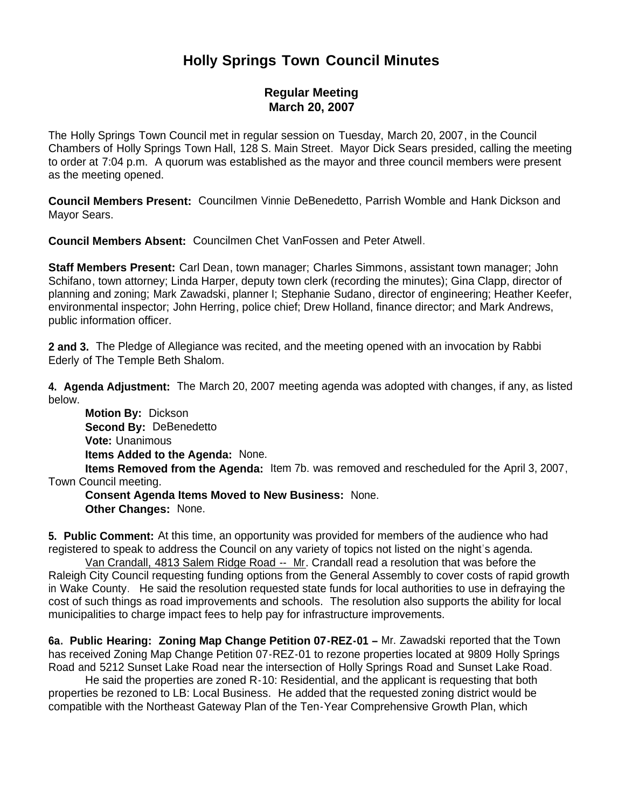## **Holly Springs Town Council Minutes**

## **Regular Meeting March 20, 2007**

The Holly Springs Town Council met in regular session on Tuesday, March 20, 2007, in the Council Chambers of Holly Springs Town Hall, 128 S. Main Street. Mayor Dick Sears presided, calling the meeting to order at 7:04 p.m. A quorum was established as the mayor and three council members were present as the meeting opened.

**Council Members Present:** Councilmen Vinnie DeBenedetto, Parrish Womble and Hank Dickson and Mayor Sears.

**Council Members Absent:** Councilmen Chet VanFossen and Peter Atwell.

**Staff Members Present:** Carl Dean, town manager; Charles Simmons, assistant town manager; John Schifano, town attorney; Linda Harper, deputy town clerk (recording the minutes); Gina Clapp, director of planning and zoning; Mark Zawadski, planner I; Stephanie Sudano, director of engineering; Heather Keefer, environmental inspector; John Herring, police chief; Drew Holland, finance director; and Mark Andrews, public information officer.

**2 and 3.** The Pledge of Allegiance was recited, and the meeting opened with an invocation by Rabbi Ederly of The Temple Beth Shalom.

**4. Agenda Adjustment:** The March 20, 2007 meeting agenda was adopted with changes, if any, as listed below.

 **Motion By:** Dickson **Second By:** DeBenedetto **Vote:** Unanimous **Items Added to the Agenda:** None.

 **Items Removed from the Agenda:** Item 7b. was removed and rescheduled for the April 3, 2007, Town Council meeting.

 **Consent Agenda Items Moved to New Business:** None. **Other Changes:** None.

**5. Public Comment:** At this time, an opportunity was provided for members of the audience who had registered to speak to address the Council on any variety of topics not listed on the night's agenda.

 Van Crandall, 4813 Salem Ridge Road -- Mr. Crandall read a resolution that was before the Raleigh City Council requesting funding options from the General Assembly to cover costs of rapid growth in Wake County. He said the resolution requested state funds for local authorities to use in defraying the cost of such things as road improvements and schools. The resolution also supports the ability for local municipalities to charge impact fees to help pay for infrastructure improvements.

**6a. Public Hearing: Zoning Map Change Petition 07-REZ-01 –** Mr. Zawadski reported that the Town has received Zoning Map Change Petition 07-REZ-01 to rezone properties located at 9809 Holly Springs Road and 5212 Sunset Lake Road near the intersection of Holly Springs Road and Sunset Lake Road.

 He said the properties are zoned R-10: Residential, and the applicant is requesting that both properties be rezoned to LB: Local Business. He added that the requested zoning district would be compatible with the Northeast Gateway Plan of the Ten-Year Comprehensive Growth Plan, which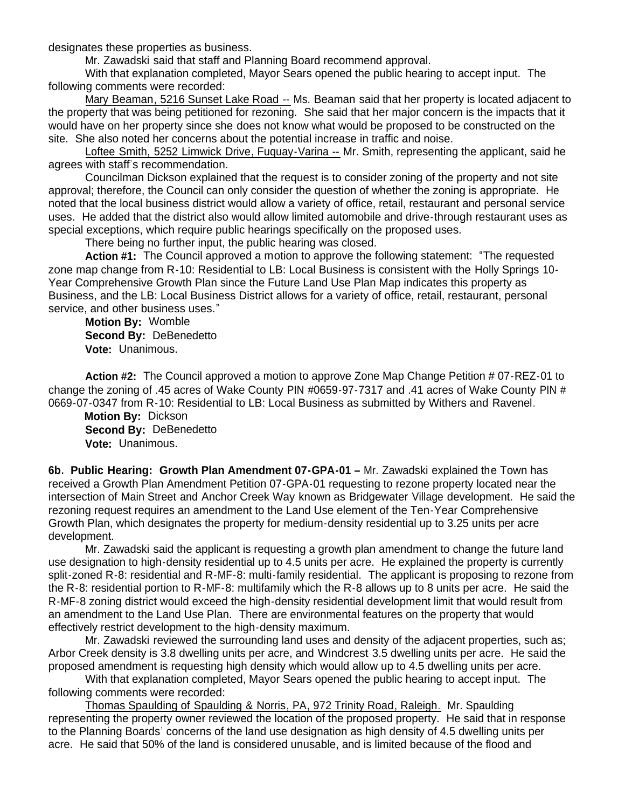designates these properties as business.

Mr. Zawadski said that staff and Planning Board recommend approval.

With that explanation completed, Mayor Sears opened the public hearing to accept input. The following comments were recorded:

Mary Beaman, 5216 Sunset Lake Road -- Ms. Beaman said that her property is located adjacent to the property that was being petitioned for rezoning. She said that her major concern is the impacts that it would have on her property since she does not know what would be proposed to be constructed on the site. She also noted her concerns about the potential increase in traffic and noise.

Loftee Smith, 5252 Limwick Drive, Fuquay-Varina -- Mr. Smith, representing the applicant, said he agrees with staff's recommendation.

Councilman Dickson explained that the request is to consider zoning of the property and not site approval; therefore, the Council can only consider the question of whether the zoning is appropriate. He noted that the local business district would allow a variety of office, retail, restaurant and personal service uses. He added that the district also would allow limited automobile and drive-through restaurant uses as special exceptions, which require public hearings specifically on the proposed uses.

There being no further input, the public hearing was closed.

 **Action #1:** The Council approved a motion to approve the following statement: "The requested zone map change from R-10: Residential to LB: Local Business is consistent with the Holly Springs 10- Year Comprehensive Growth Plan since the Future Land Use Plan Map indicates this property as Business, and the LB: Local Business District allows for a variety of office, retail, restaurant, personal service, and other business uses."

 **Motion By:** Womble **Second By:** DeBenedetto **Vote:** Unanimous.

 **Action #2:** The Council approved a motion to approve Zone Map Change Petition # 07-REZ-01 to change the zoning of .45 acres of Wake County PIN #0659-97-7317 and .41 acres of Wake County PIN # 0669-07-0347 from R-10: Residential to LB: Local Business as submitted by Withers and Ravenel.

 **Motion By:** Dickson **Second By:** DeBenedetto **Vote:** Unanimous.

**6b. Public Hearing: Growth Plan Amendment 07-GPA-01 –** Mr. Zawadski explained the Town has received a Growth Plan Amendment Petition 07-GPA-01 requesting to rezone property located near the intersection of Main Street and Anchor Creek Way known as Bridgewater Village development. He said the rezoning request requires an amendment to the Land Use element of the Ten-Year Comprehensive Growth Plan, which designates the property for medium-density residential up to 3.25 units per acre development.

 Mr. Zawadski said the applicant is requesting a growth plan amendment to change the future land use designation to high-density residential up to 4.5 units per acre. He explained the property is currently split-zoned R-8: residential and R-MF-8: multi-family residential. The applicant is proposing to rezone from the R-8: residential portion to R-MF-8: multifamily which the R-8 allows up to 8 units per acre. He said the R-MF-8 zoning district would exceed the high-density residential development limit that would result from an amendment to the Land Use Plan. There are environmental features on the property that would effectively restrict development to the high-density maximum.

 Mr. Zawadski reviewed the surrounding land uses and density of the adjacent properties, such as; Arbor Creek density is 3.8 dwelling units per acre, and Windcrest 3.5 dwelling units per acre. He said the proposed amendment is requesting high density which would allow up to 4.5 dwelling units per acre.

With that explanation completed, Mayor Sears opened the public hearing to accept input. The following comments were recorded:

Thomas Spaulding of Spaulding & Norris, PA, 972 Trinity Road, Raleigh. Mr. Spaulding representing the property owner reviewed the location of the proposed property. He said that in response to the Planning Boards' concerns of the land use designation as high density of 4.5 dwelling units per acre. He said that 50% of the land is considered unusable, and is limited because of the flood and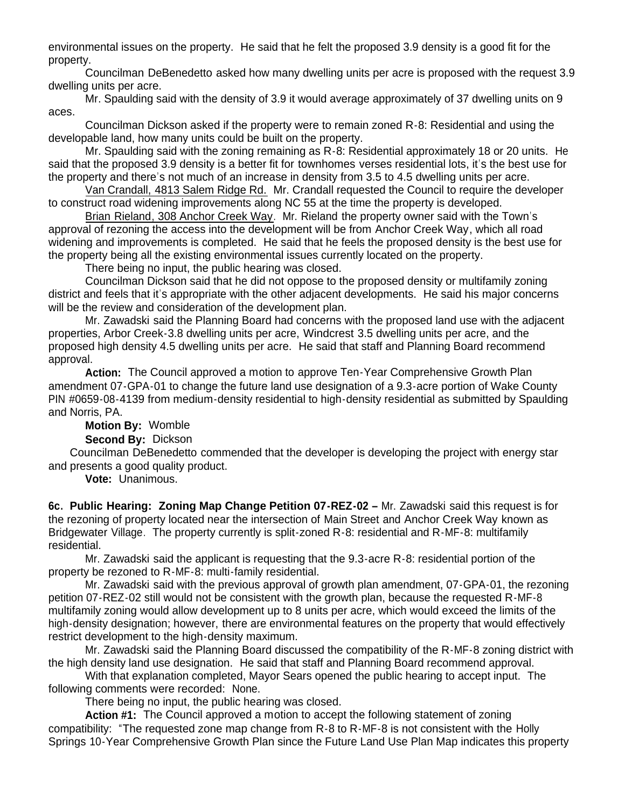environmental issues on the property. He said that he felt the proposed 3.9 density is a good fit for the property.

Councilman DeBenedetto asked how many dwelling units per acre is proposed with the request 3.9 dwelling units per acre.

Mr. Spaulding said with the density of 3.9 it would average approximately of 37 dwelling units on 9 aces.

Councilman Dickson asked if the property were to remain zoned R-8: Residential and using the developable land, how many units could be built on the property.

Mr. Spaulding said with the zoning remaining as R-8: Residential approximately 18 or 20 units. He said that the proposed 3.9 density is a better fit for townhomes verses residential lots, it's the best use for the property and there's not much of an increase in density from 3.5 to 4.5 dwelling units per acre.

Van Crandall, 4813 Salem Ridge Rd. Mr. Crandall requested the Council to require the developer to construct road widening improvements along NC 55 at the time the property is developed.

Brian Rieland, 308 Anchor Creek Way. Mr. Rieland the property owner said with the Town's approval of rezoning the access into the development will be from Anchor Creek Way, which all road widening and improvements is completed. He said that he feels the proposed density is the best use for the property being all the existing environmental issues currently located on the property.

There being no input, the public hearing was closed.

Councilman Dickson said that he did not oppose to the proposed density or multifamily zoning district and feels that it's appropriate with the other adjacent developments. He said his major concerns will be the review and consideration of the development plan.

Mr. Zawadski said the Planning Board had concerns with the proposed land use with the adjacent properties, Arbor Creek-3.8 dwelling units per acre, Windcrest 3.5 dwelling units per acre, and the proposed high density 4.5 dwelling units per acre. He said that staff and Planning Board recommend approval.

 **Action:** The Council approved a motion to approve Ten-Year Comprehensive Growth Plan amendment 07-GPA-01 to change the future land use designation of a 9.3-acre portion of Wake County PIN #0659-08-4139 from medium-density residential to high-density residential as submitted by Spaulding and Norris, PA.

**Motion By:** Womble

**Second By:** Dickson

 Councilman DeBenedetto commended that the developer is developing the project with energy star and presents a good quality product.

**Vote:** Unanimous.

**6c. Public Hearing: Zoning Map Change Petition 07-REZ-02 –** Mr. Zawadski said this request is for the rezoning of property located near the intersection of Main Street and Anchor Creek Way known as Bridgewater Village. The property currently is split-zoned R-8: residential and R-MF-8: multifamily residential.

 Mr. Zawadski said the applicant is requesting that the 9.3-acre R-8: residential portion of the property be rezoned to R-MF-8: multi-family residential.

 Mr. Zawadski said with the previous approval of growth plan amendment, 07-GPA-01, the rezoning petition 07-REZ-02 still would not be consistent with the growth plan, because the requested R-MF-8 multifamily zoning would allow development up to 8 units per acre, which would exceed the limits of the high-density designation; however, there are environmental features on the property that would effectively restrict development to the high-density maximum.

 Mr. Zawadski said the Planning Board discussed the compatibility of the R-MF-8 zoning district with the high density land use designation. He said that staff and Planning Board recommend approval.

With that explanation completed, Mayor Sears opened the public hearing to accept input. The following comments were recorded: None.

There being no input, the public hearing was closed.

 **Action #1:** The Council approved a motion to accept the following statement of zoning compatibility: "The requested zone map change from R-8 to R-MF-8 is not consistent with the Holly Springs 10-Year Comprehensive Growth Plan since the Future Land Use Plan Map indicates this property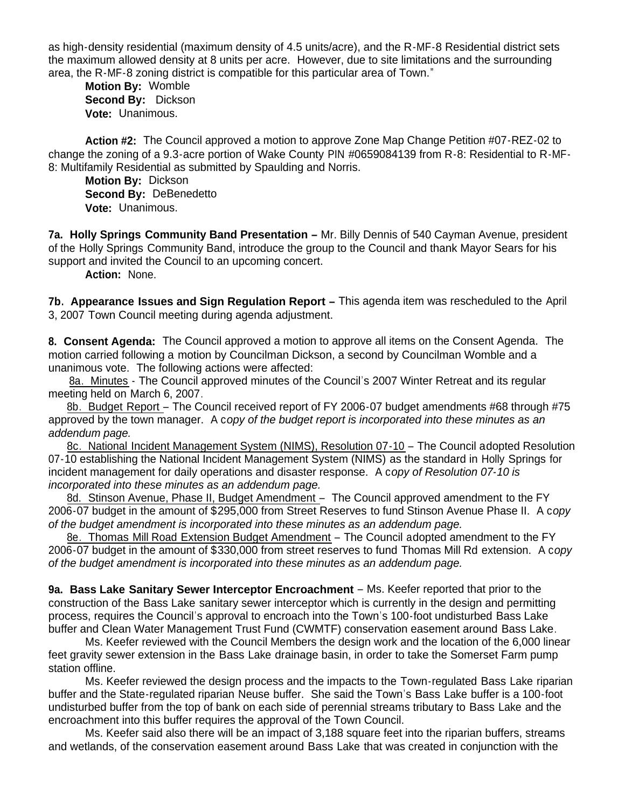as high-density residential (maximum density of 4.5 units/acre), and the R-MF-8 Residential district sets the maximum allowed density at 8 units per acre. However, due to site limitations and the surrounding area, the R-MF-8 zoning district is compatible for this particular area of Town."

 **Motion By:** Womble **Second By:** Dickson **Vote:** Unanimous.

 **Action #2:** The Council approved a motion to approve Zone Map Change Petition #07-REZ-02 to change the zoning of a 9.3-acre portion of Wake County PIN #0659084139 from R-8: Residential to R-MF-8: Multifamily Residential as submitted by Spaulding and Norris.

 **Motion By:** Dickson **Second By:** DeBenedetto **Vote:** Unanimous.

**7a. Holly Springs Community Band Presentation –** Mr. Billy Dennis of 540 Cayman Avenue, president of the Holly Springs Community Band, introduce the group to the Council and thank Mayor Sears for his support and invited the Council to an upcoming concert.

**Action:** None.

**7b. Appearance Issues and Sign Regulation Report –** This agenda item was rescheduled to the April 3, 2007 Town Council meeting during agenda adjustment.

**8. Consent Agenda:** The Council approved a motion to approve all items on the Consent Agenda. The motion carried following a motion by Councilman Dickson, a second by Councilman Womble and a unanimous vote. The following actions were affected:

8a. Minutes - The Council approved minutes of the Council's 2007 Winter Retreat and its regular meeting held on March 6, 2007.

 8b. Budget Report – The Council received report of FY 2006-07 budget amendments #68 through #75 approved by the town manager. A c*opy of the budget report is incorporated into these minutes as an addendum page.*

 8c. National Incident Management System (NIMS), Resolution 07-10 – The Council adopted Resolution 07-10 establishing the National Incident Management System (NIMS) as the standard in Holly Springs for incident management for daily operations and disaster response. A c*opy of Resolution 07-10 is incorporated into these minutes as an addendum page.*

8d. Stinson Avenue, Phase II, Budget Amendment – The Council approved amendment to the FY 2006-07 budget in the amount of \$295,000 from Street Reserves to fund Stinson Avenue Phase II. A c*opy of the budget amendment is incorporated into these minutes as an addendum page.*

 8e. Thomas Mill Road Extension Budget Amendment – The Council adopted amendment to the FY 2006-07 budget in the amount of \$330,000 from street reserves to fund Thomas Mill Rd extension. A c*opy of the budget amendment is incorporated into these minutes as an addendum page.*

**9a. Bass Lake Sanitary Sewer Interceptor Encroachment** – Ms. Keefer reported that prior to the construction of the Bass Lake sanitary sewer interceptor which is currently in the design and permitting process, requires the Council's approval to encroach into the Town's 100-foot undisturbed Bass Lake buffer and Clean Water Management Trust Fund (CWMTF) conservation easement around Bass Lake.

 Ms. Keefer reviewed with the Council Members the design work and the location of the 6,000 linear feet gravity sewer extension in the Bass Lake drainage basin, in order to take the Somerset Farm pump station offline.

 Ms. Keefer reviewed the design process and the impacts to the Town-regulated Bass Lake riparian buffer and the State-regulated riparian Neuse buffer. She said the Town's Bass Lake buffer is a 100-foot undisturbed buffer from the top of bank on each side of perennial streams tributary to Bass Lake and the encroachment into this buffer requires the approval of the Town Council.

 Ms. Keefer said also there will be an impact of 3,188 square feet into the riparian buffers, streams and wetlands, of the conservation easement around Bass Lake that was created in conjunction with the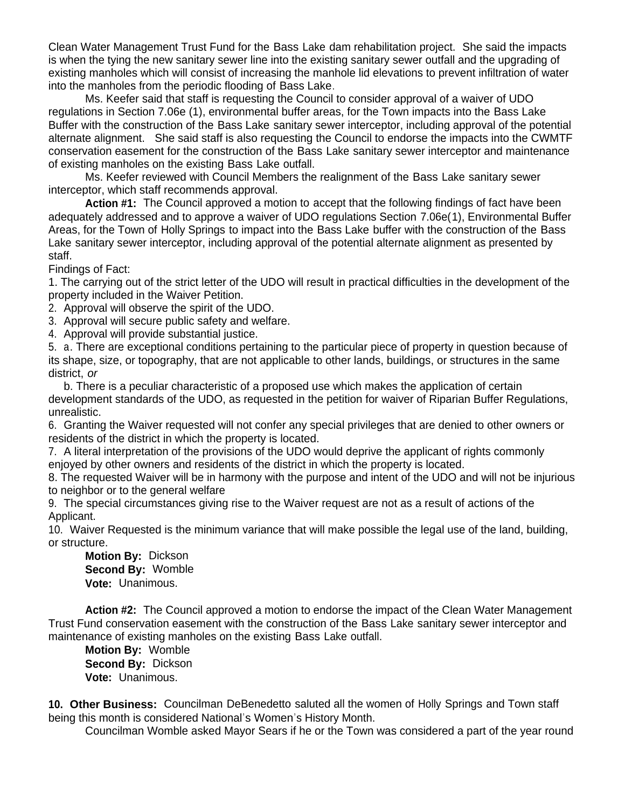Clean Water Management Trust Fund for the Bass Lake dam rehabilitation project. She said the impacts is when the tying the new sanitary sewer line into the existing sanitary sewer outfall and the upgrading of existing manholes which will consist of increasing the manhole lid elevations to prevent infiltration of water into the manholes from the periodic flooding of Bass Lake.

 Ms. Keefer said that staff is requesting the Council to consider approval of a waiver of UDO regulations in Section 7.06e (1), environmental buffer areas, for the Town impacts into the Bass Lake Buffer with the construction of the Bass Lake sanitary sewer interceptor, including approval of the potential alternate alignment. She said staff is also requesting the Council to endorse the impacts into the CWMTF conservation easement for the construction of the Bass Lake sanitary sewer interceptor and maintenance of existing manholes on the existing Bass Lake outfall.

 Ms. Keefer reviewed with Council Members the realignment of the Bass Lake sanitary sewer interceptor, which staff recommends approval.

 **Action #1:** The Council approved a motion to accept that the following findings of fact have been adequately addressed and to approve a waiver of UDO regulations Section 7.06e(1), Environmental Buffer Areas, for the Town of Holly Springs to impact into the Bass Lake buffer with the construction of the Bass Lake sanitary sewer interceptor, including approval of the potential alternate alignment as presented by staff.

Findings of Fact:

1. The carrying out of the strict letter of the UDO will result in practical difficulties in the development of the property included in the Waiver Petition.

2. Approval will observe the spirit of the UDO.

3. Approval will secure public safety and welfare.

4. Approval will provide substantial justice.

5. a. There are exceptional conditions pertaining to the particular piece of property in question because of its shape, size, or topography, that are not applicable to other lands, buildings, or structures in the same district, *or*

 b. There is a peculiar characteristic of a proposed use which makes the application of certain development standards of the UDO, as requested in the petition for waiver of Riparian Buffer Regulations, unrealistic.

6. Granting the Waiver requested will not confer any special privileges that are denied to other owners or residents of the district in which the property is located.

7. A literal interpretation of the provisions of the UDO would deprive the applicant of rights commonly enjoyed by other owners and residents of the district in which the property is located.

8. The requested Waiver will be in harmony with the purpose and intent of the UDO and will not be injurious to neighbor or to the general welfare

9. The special circumstances giving rise to the Waiver request are not as a result of actions of the Applicant.

10. Waiver Requested is the minimum variance that will make possible the legal use of the land, building, or structure.

 **Motion By:** Dickson **Second By:** Womble **Vote:** Unanimous.

 **Action #2:** The Council approved a motion to endorse the impact of the Clean Water Management Trust Fund conservation easement with the construction of the Bass Lake sanitary sewer interceptor and maintenance of existing manholes on the existing Bass Lake outfall.

 **Motion By:** Womble **Second By:** Dickson **Vote:** Unanimous.

**10. Other Business:** Councilman DeBenedetto saluted all the women of Holly Springs and Town staff being this month is considered National's Women's History Month.

Councilman Womble asked Mayor Sears if he or the Town was considered a part of the year round